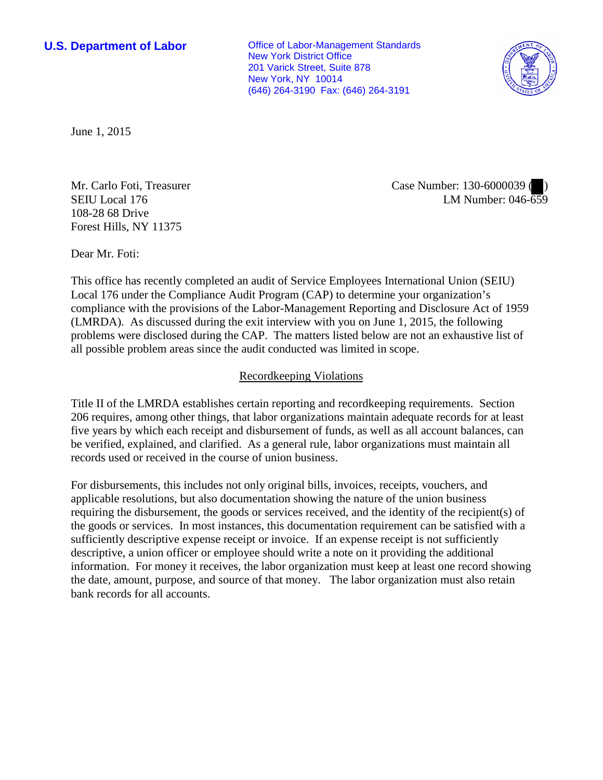**U.S. Department of Labor Conservative Conservative Conservative Conservative Conservative Conservative Conservative Conservative Conservative Conservative Conservative Conservative Conservative Conservative Conservative** New York District Office 201 Varick Street, Suite 878 New York, NY 10014 (646) 264-3190 Fax: (646) 264-3191



June 1, 2015

Mr. Carlo Foti, Treasurer SEIU Local 176 108-28 68 Drive Forest Hills, NY 11375

Case Number: 130-6000039 ( ) LM Number: 046-659

Dear Mr. Foti:

This office has recently completed an audit of Service Employees International Union (SEIU) Local 176 under the Compliance Audit Program (CAP) to determine your organization's compliance with the provisions of the Labor-Management Reporting and Disclosure Act of 1959 (LMRDA). As discussed during the exit interview with you on June 1, 2015, the following problems were disclosed during the CAP. The matters listed below are not an exhaustive list of all possible problem areas since the audit conducted was limited in scope.

## Recordkeeping Violations

Title II of the LMRDA establishes certain reporting and recordkeeping requirements. Section 206 requires, among other things, that labor organizations maintain adequate records for at least five years by which each receipt and disbursement of funds, as well as all account balances, can be verified, explained, and clarified. As a general rule, labor organizations must maintain all records used or received in the course of union business.

For disbursements, this includes not only original bills, invoices, receipts, vouchers, and applicable resolutions, but also documentation showing the nature of the union business requiring the disbursement, the goods or services received, and the identity of the recipient(s) of the goods or services. In most instances, this documentation requirement can be satisfied with a sufficiently descriptive expense receipt or invoice. If an expense receipt is not sufficiently descriptive, a union officer or employee should write a note on it providing the additional information. For money it receives, the labor organization must keep at least one record showing the date, amount, purpose, and source of that money. The labor organization must also retain bank records for all accounts.